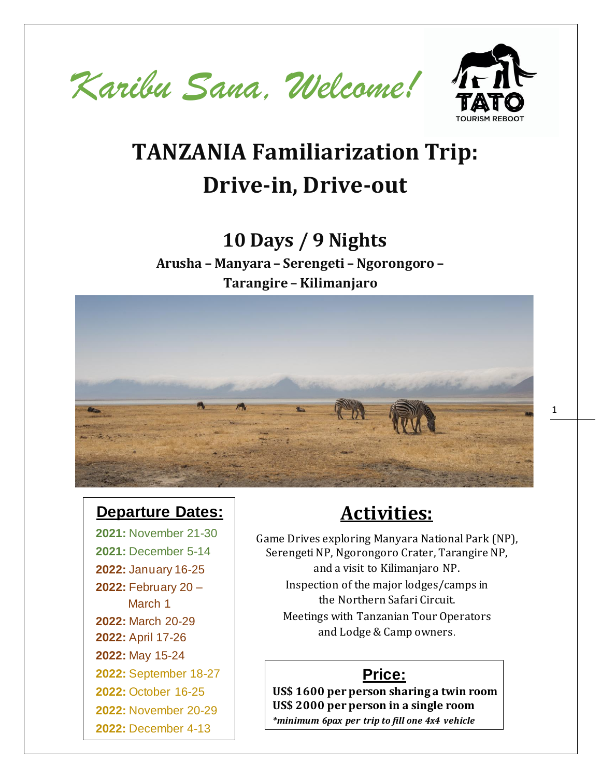



# **TANZANIA Familiarization Trip: Drive-in, Drive-out**

## **10 Days / 9 Nights**

**Arusha – Manyara – Serengeti – Ngorongoro – Tarangire – Kilimanjaro** 



### **Departure Dates:**

**2021:** November 21-30 **2021:** December 5-14 **2022:** January 16-25 **2022:** February 20 – March 1 **2022:** March 20-29 **2022:** April 17-26 **2022:** May 15-24 **2022:** September 18-27 **2022:** October 16-25 **2022:** November 20-29 **2022:** December 4-13

### **Activities:**

Game Drives exploring Manyara National Park (NP), Serengeti NP, Ngorongoro Crater, Tarangire NP, and a visit to Kilimanjaro NP. Inspection of the major lodges/camps in the Northern Safari Circuit. Meetings with Tanzanian Tour Operators and Lodge & Camp owners.

### **Price:**

**US\$ 1600 per person sharing a twin room US\$ 2000 per person in a single room** *\*minimum 6pax per trip to fill one 4x4 vehicle*

1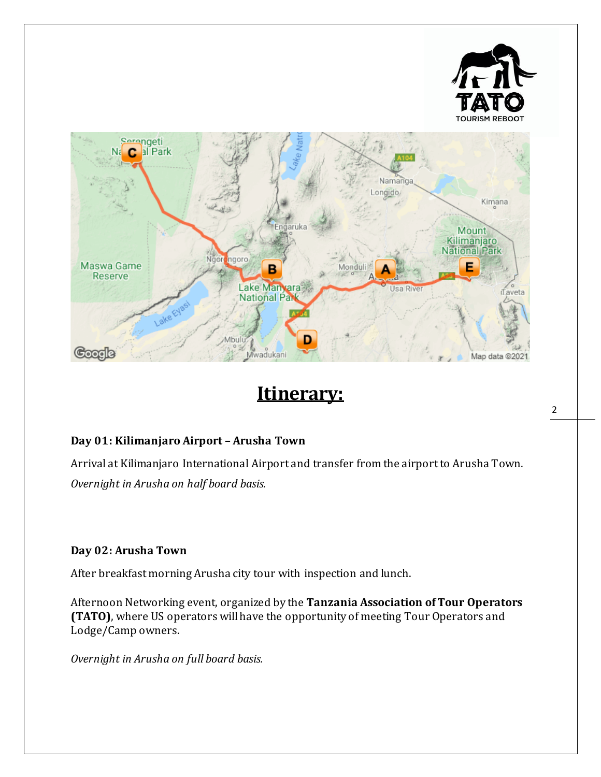![](_page_1_Picture_0.jpeg)

### **Itinerary:**

#### **Day 01: Kilimanjaro Airport – Arusha Town**

Arrival at Kilimanjaro International Airport and transfer from the airport to Arusha Town. *Overnight in Arusha on half board basis.*

#### **Day 02: Arusha Town**

After breakfast morning Arusha city tour with inspection and lunch.

Afternoon Networking event, organized by the **Tanzania Association of Tour Operators (TATO)**, where US operators will have the opportunity of meeting Tour Operators and Lodge/Camp owners.

*Overnight in Arusha on full board basis.*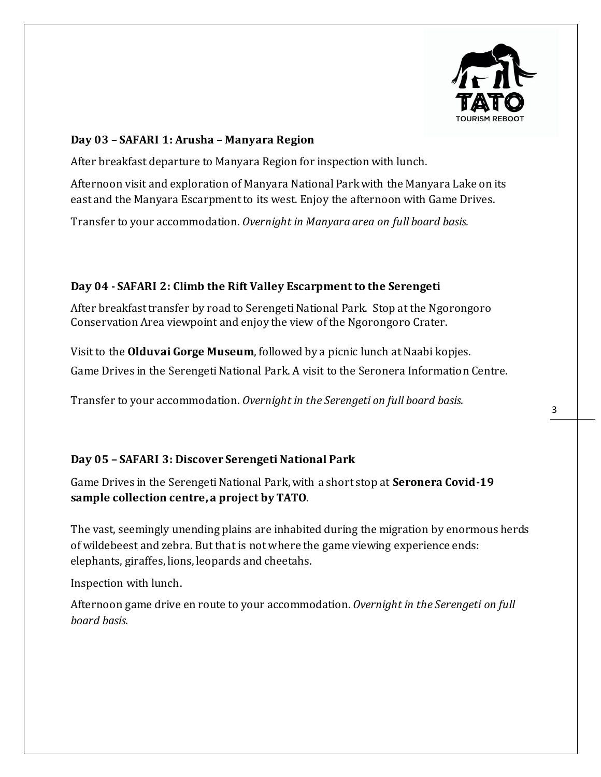![](_page_2_Picture_0.jpeg)

#### **Day 03 – SAFARI 1: Arusha – Manyara Region**

After breakfast departure to Manyara Region for inspection with lunch.

Afternoon visit and exploration of Manyara National Park with the Manyara Lake on its east and the Manyara Escarpment to its west. Enjoy the afternoon with Game Drives.

Transfer to your accommodation. *Overnight in Manyara area on full board basis.*

#### **Day 04 - SAFARI 2: Climb the Rift Valley Escarpment to the Serengeti**

After breakfast transfer by road to Serengeti National Park. Stop at the Ngorongoro Conservation Area viewpoint and enjoy the view of the Ngorongoro Crater.

Visit to the **Olduvai Gorge Museum**, followed by a picnic lunch at Naabi kopjes. Game Drives in the Serengeti National Park. A visit to the Seronera Information Centre.

Transfer to your accommodation. *Overnight in the Serengeti on full board basis.*

#### **Day 05 – SAFARI 3: Discover Serengeti National Park**

Game Drives in the Serengeti National Park, with a short stop at **Seronera Covid-19 sample collection centre, a project by TATO**.

The vast, seemingly unending plains are inhabited during the migration by enormous herds of wildebeest and zebra. But that is not where the game viewing experience ends: elephants, giraffes, lions, leopards and cheetahs.

Inspection with lunch.

Afternoon game drive en route to your accommodation. *Overnight in the Serengeti on full board basis.*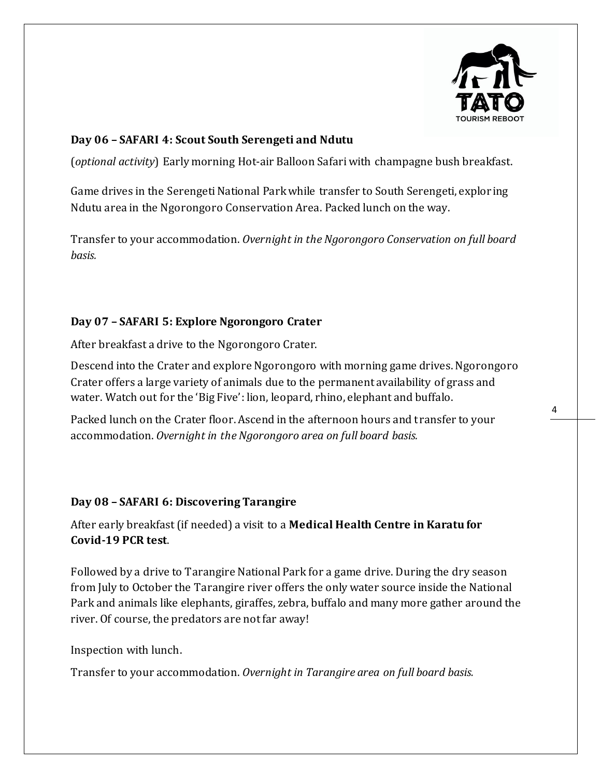![](_page_3_Picture_0.jpeg)

#### **Day 06 – SAFARI 4: Scout South Serengeti and Ndutu**

(*optional activity*) Early morning Hot-air Balloon Safari with champagne bush breakfast.

Game drives in the Serengeti National Park while transfer to South Serengeti, explor ing Ndutu area in the Ngorongoro Conservation Area. Packed lunch on the way.

Transfer to your accommodation. *Overnight in the Ngorongoro Conservation on full board basis.*

#### **Day 07 – SAFARI 5: Explore Ngorongoro Crater**

After breakfast a drive to the Ngorongoro Crater.

Descend into the Crater and explore Ngorongoro with morning game drives. Ngorongoro Crater offers a large variety of animals due to the permanent availability of grass and water. Watch out for the 'Big Five': lion, leopard, rhino, elephant and buffalo.

Packed lunch on the Crater floor. Ascend in the afternoon hours and transfer to your accommodation. *Overnight in the Ngorongoro area on full board basis.*

#### **Day 08 – SAFARI 6: Discovering Tarangire**

After early breakfast (if needed) a visit to a **Medical Health Centre in Karatu for Covid-19 PCR test**.

Followed by a drive to Tarangire National Park for a game drive. During the dry season from July to October the Tarangire river offers the only water source inside the National Park and animals like elephants, giraffes, zebra, buffalo and many more gather around the river. Of course, the predators are not far away!

Inspection with lunch.

Transfer to your accommodation. *Overnight in Tarangire area on full board basis.*

4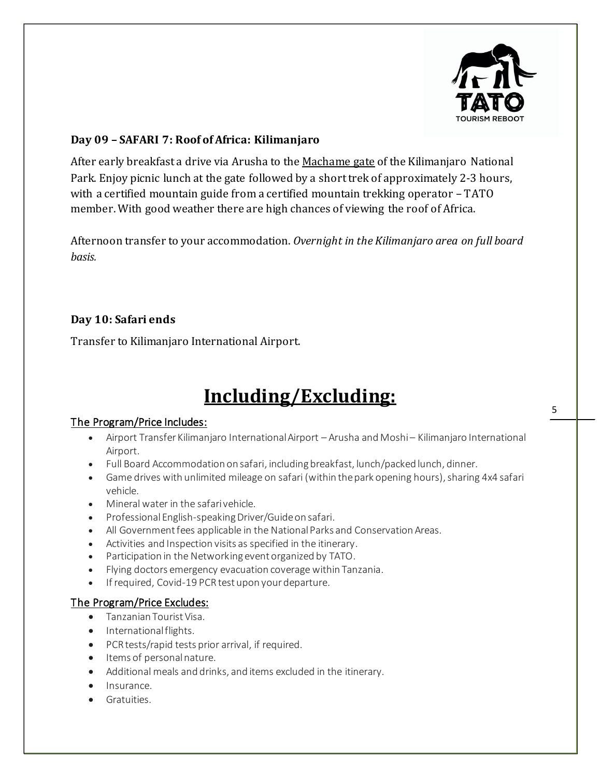![](_page_4_Picture_0.jpeg)

#### **Day 09 – SAFARI 7: Roof of Africa: Kilimanjaro**

After early breakfast a drive via Arusha to the Machame gate of the Kilimanjaro National Park. Enjoy picnic lunch at the gate followed by a short trek of approximately 2-3 hours, with a certified mountain guide from a certified mountain trekking operator – TATO member. With good weather there are high chances of viewing the roof of Africa.

Afternoon transfer to your accommodation. *Overnight in the Kilimanjaro area on full board basis.*

#### **Day 10: Safari ends**

Transfer to Kilimanjaro International Airport.

### **Including/Excluding:**

#### The Program/Price Includes:

- Airport Transfer Kilimanjaro International Airport Arusha and Moshi Kilimanjaro International Airport.
- Full Board Accommodation on safari, including breakfast, lunch/packed lunch, dinner.
- Game drives with unlimited mileage on safari (within the park opening hours), sharing 4x4 safari vehicle.
- Mineral water in the safari vehicle.
- Professional English-speakingDriver/Guide on safari.
- All Government fees applicable in the National Parks and Conservation Areas.
- Activities and Inspection visits as specified in the itinerary.
- Participation in the Networking event organized by TATO.
- Flying doctors emergency evacuation coverage within Tanzania.
- If required, Covid-19 PCR test upon your departure.

#### The Program/Price Excludes:

- Tanzanian Tourist Visa.
- International flights.
- PCR tests/rapid tests prior arrival, if required.
- Items of personal nature.
- Additional meals and drinks, and items excluded in the itinerary.
- Insurance.
- Gratuities.